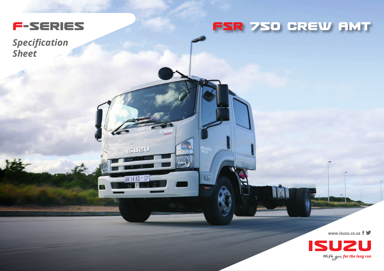

**ISU2U** 

BH 14 KD \* GP

**ISU<sub>2U</sub>**<br>750

E

*Specification Sheet*

## **FSR 75O CREW AMT**

**www.isuzu.co.za**